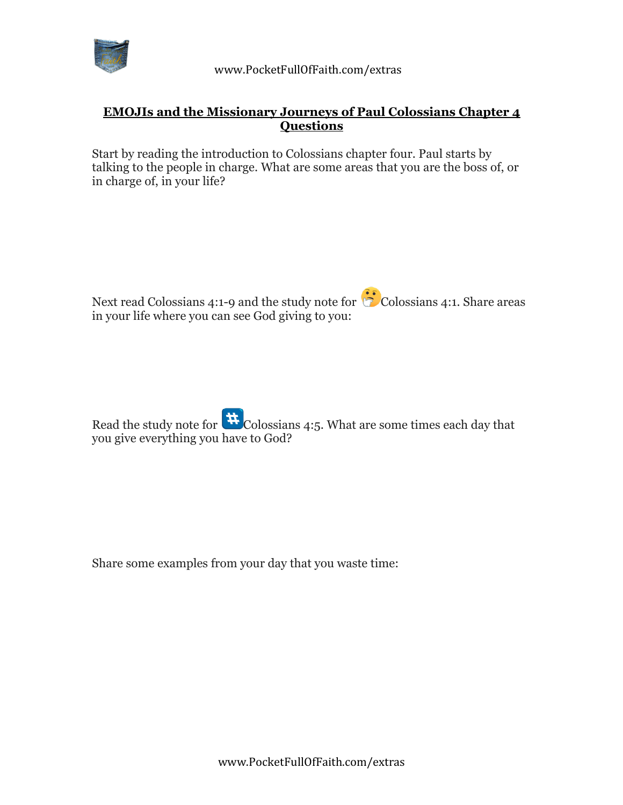

## **EMOJIs and the Missionary Journeys of Paul Colossians Chapter 4 Questions**

Start by reading the introduction to Colossians chapter four. Paul starts by talking to the people in charge. What are some areas that you are the boss of, or in charge of, in your life?



Read the study note for  $\mathbf{H}_{\text{Colossians 4:5}}$ . What are some times each day that you give everything you have to God?

Share some examples from your day that you waste time: